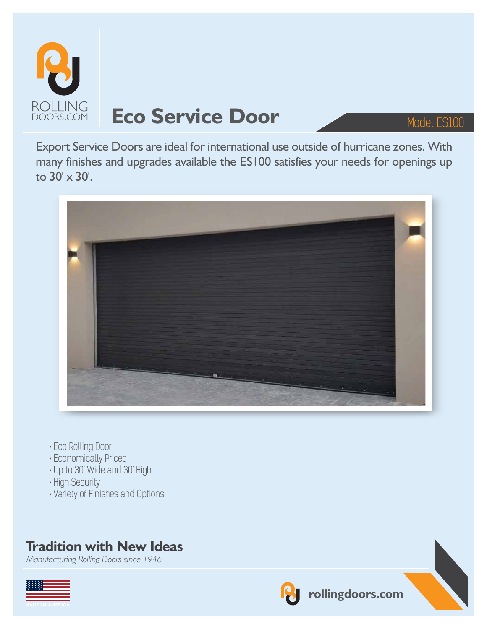

# **Eco Service Door** Model ES100

Export Service Doors are ideal for international use outside of hurricane zones. With many finishes and upgrades available the ES100 satisfies your needs for openings up to 30' x 30'.



- Eco Rolling Door
- Economically Priced
- Up to 30' Wide and 30' High
- High Security
- Variety of Finishes and Options

### **Tradition with New Ideas**

*Manufacturing Rolling Doors since 1946*